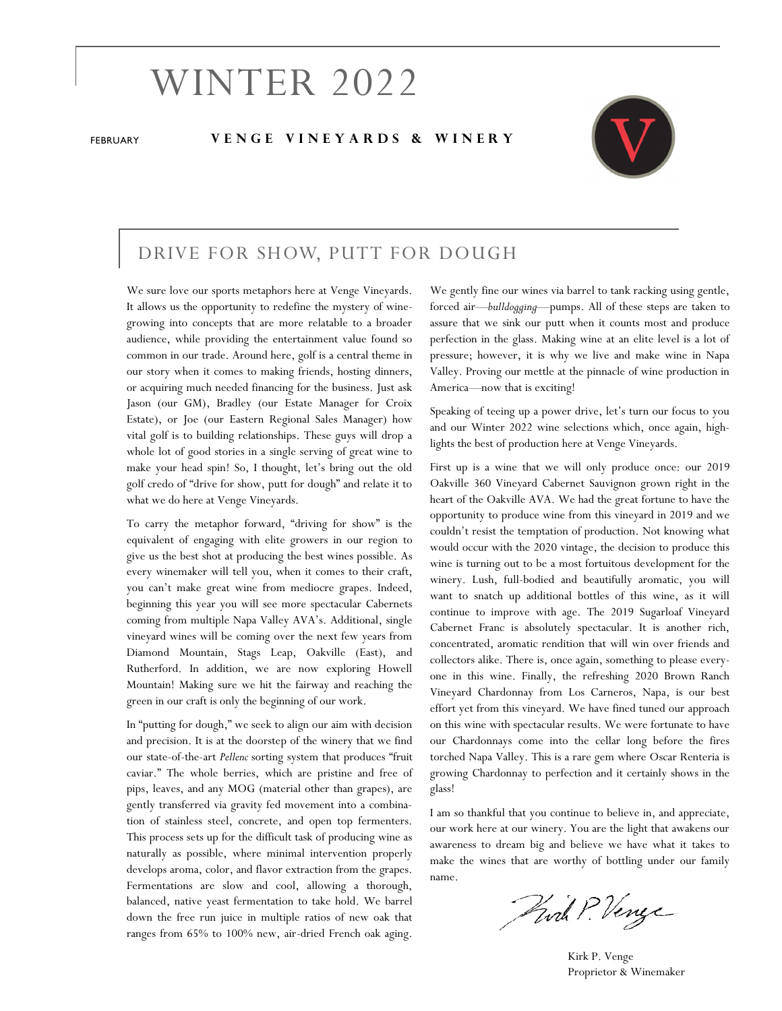# WINTER 2022

#### FEBRUARY **V E N G E V I N E Y A R D S & W I N E R Y**



### DRIVE FOR SHOW, PUTT FOR DOUGH

We sure love our sports metaphors here at Venge Vineyards. It allows us the opportunity to redefine the mystery of winegrowing into concepts that are more relatable to a broader audience, while providing the entertainment value found so common in our trade. Around here, golf is a central theme in our story when it comes to making friends, hosting dinners, or acquiring much needed financing for the business. Just ask Jason (our GM), Bradley (our Estate Manager for Croix Estate), or Joe (our Eastern Regional Sales Manager) how vital golf is to building relationships. These guys will drop a whole lot of good stories in a single serving of great wine to make your head spin! So, I thought, let's bring out the old golf credo of "drive for show, putt for dough" and relate it to what we do here at Venge Vineyards.

To carry the metaphor forward, "driving for show" is the equivalent of engaging with elite growers in our region to give us the best shot at producing the best wines possible. As every winemaker will tell you, when it comes to their craft, you can't make great wine from mediocre grapes. Indeed, beginning this year you will see more spectacular Cabernets coming from multiple Napa Valley AVA's. Additional, single vineyard wines will be coming over the next few years from Diamond Mountain, Stags Leap, Oakville (East), and Rutherford. In addition, we are now exploring Howell Mountain! Making sure we hit the fairway and reaching the green in our craft is only the beginning of our work.

In "putting for dough," we seek to align our aim with decision and precision. It is at the doorstep of the winery that we find our state-of-the-art *Pellenc* sorting system that produces "fruit caviar." The whole berries, which are pristine and free of pips, leaves, and any MOG (material other than grapes), are gently transferred via gravity fed movement into a combination of stainless steel, concrete, and open top fermenters. This process sets up for the difficult task of producing wine as naturally as possible, where minimal intervention properly develops aroma, color, and flavor extraction from the grapes. Fermentations are slow and cool, allowing a thorough, balanced, native yeast fermentation to take hold. We barrel down the free run juice in multiple ratios of new oak that ranges from 65% to 100% new, air-dried French oak aging.

We gently fine our wines via barrel to tank racking using gentle, forced air—*bulldogging*—pumps. All of these steps are taken to assure that we sink our putt when it counts most and produce perfection in the glass. Making wine at an elite level is a lot of pressure; however, it is why we live and make wine in Napa Valley. Proving our mettle at the pinnacle of wine production in America—now that is exciting!

Speaking of teeing up a power drive, let's turn our focus to you and our Winter 2022 wine selections which, once again, highlights the best of production here at Venge Vineyards.

First up is a wine that we will only produce once: our 2019 Oakville 360 Vineyard Cabernet Sauvignon grown right in the heart of the Oakville AVA. We had the great fortune to have the opportunity to produce wine from this vineyard in 2019 and we couldn't resist the temptation of production. Not knowing what would occur with the 2020 vintage, the decision to produce this wine is turning out to be a most fortuitous development for the winery. Lush, full-bodied and beautifully aromatic, you will want to snatch up additional bottles of this wine, as it will continue to improve with age. The 2019 Sugarloaf Vineyard Cabernet Franc is absolutely spectacular. It is another rich, concentrated, aromatic rendition that will win over friends and collectors alike. There is, once again, something to please everyone in this wine. Finally, the refreshing 2020 Brown Ranch Vineyard Chardonnay from Los Carneros, Napa, is our best effort yet from this vineyard. We have fined tuned our approach on this wine with spectacular results. We were fortunate to have our Chardonnays come into the cellar long before the fires torched Napa Valley. This is a rare gem where Oscar Renteria is growing Chardonnay to perfection and it certainly shows in the glass!

I am so thankful that you continue to believe in, and appreciate, our work here at our winery. You are the light that awakens our awareness to dream big and believe we have what it takes to make the wines that are worthy of bottling under our family name.

Pwil P. Venge

Kirk P. Venge Proprietor & Winemaker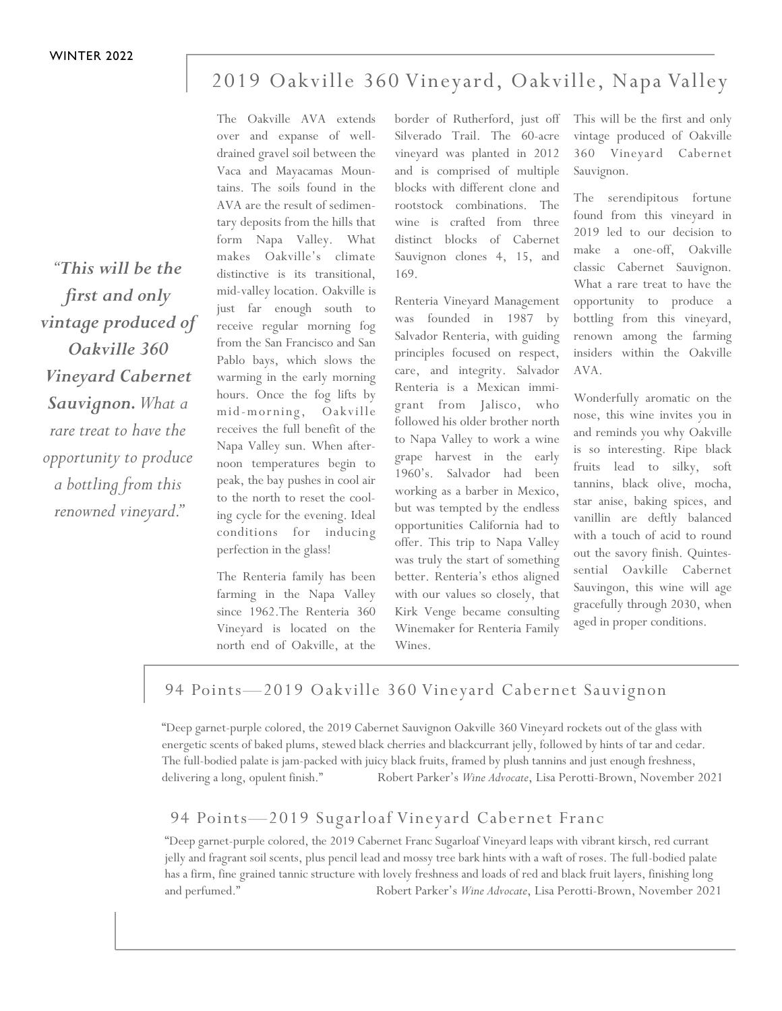## 2019 Oakville 360 Vineyard, Oakville, Napa Valley

*"This will be the first and only vintage produced of Oakville 360 Vineyard Cabernet Sauvignon. What a rare treat to have the opportunity to produce a bottling from this renowned vineyard."* 

The Oakville AVA extends over and expanse of welldrained gravel soil between the Vaca and Mayacamas Mountains. The soils found in the AVA are the result of sedimentary deposits from the hills that form Napa Valley. What makes Oakville's climate distinctive is its transitional, mid-valley location. Oakville is just far enough south to receive regular morning fog from the San Francisco and San Pablo bays, which slows the warming in the early morning hours. Once the fog lifts by mid-morning, Oakville receives the full benefit of the Napa Valley sun. When afternoon temperatures begin to peak, the bay pushes in cool air to the north to reset the cooling cycle for the evening. Ideal conditions for inducing perfection in the glass!

The Renteria family has been farming in the Napa Valley since 1962.The Renteria 360 Vineyard is located on the north end of Oakville, at the

border of Rutherford, just off Silverado Trail. The 60-acre vineyard was planted in 2012 and is comprised of multiple blocks with different clone and rootstock combinations. The wine is crafted from three distinct blocks of Cabernet Sauvignon clones 4, 15, and 169.

Renteria Vineyard Management was founded in 1987 by Salvador Renteria, with guiding principles focused on respect, care, and integrity. Salvador Renteria is a Mexican immigrant from Jalisco, who followed his older brother north to Napa Valley to work a wine grape harvest in the early 1960's. Salvador had been working as a barber in Mexico, but was tempted by the endless opportunities California had to offer. This trip to Napa Valley was truly the start of something better. Renteria's ethos aligned with our values so closely, that Kirk Venge became consulting Winemaker for Renteria Family Wines.

This will be the first and only vintage produced of Oakville 360 Vineyard Cabernet Sauvignon.

The serendipitous fortune found from this vineyard in 2019 led to our decision to make a one-off, Oakville classic Cabernet Sauvignon. What a rare treat to have the opportunity to produce a bottling from this vineyard, renown among the farming insiders within the Oakville AVA.

Wonderfully aromatic on the nose, this wine invites you in and reminds you why Oakville is so interesting. Ripe black fruits lead to silky, soft tannins, black olive, mocha, star anise, baking spices, and vanillin are deftly balanced with a touch of acid to round out the savory finish. Quintessential Oavkille Cabernet Sauvingon, this wine will age gracefully through 2030, when aged in proper conditions.

#### 94 Points-2019 Oakville 360 Vineyard Cabernet Sauvignon

"Deep garnet-purple colored, the 2019 Cabernet Sauvignon Oakville 360 Vineyard rockets out of the glass with energetic scents of baked plums, stewed black cherries and blackcurrant jelly, followed by hints of tar and cedar. The full-bodied palate is jam-packed with juicy black fruits, framed by plush tannins and just enough freshness, delivering a long, opulent finish." Robert Parker's *Wine Advocate*, Lisa Perotti-Brown, November 2021

## 94 Points-2019 Sugarloaf Vineyard Cabernet Franc

"Deep garnet-purple colored, the 2019 Cabernet Franc Sugarloaf Vineyard leaps with vibrant kirsch, red currant jelly and fragrant soil scents, plus pencil lead and mossy tree bark hints with a waft of roses. The full-bodied palate has a firm, fine grained tannic structure with lovely freshness and loads of red and black fruit layers, finishing long and perfumed." Robert Parker's *Wine Advocate*, Lisa Perotti-Brown, November 2021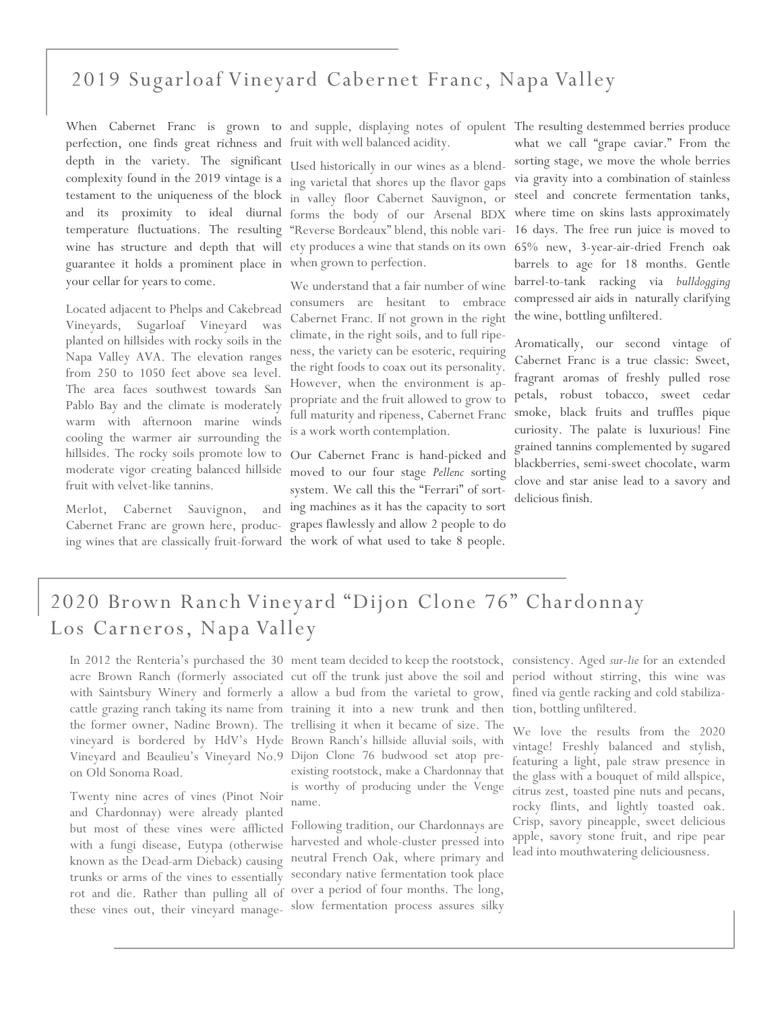## 2019 Sugarloaf Vineyard Cabernet Franc, Napa Valley

perfection, one finds great richness and fruit with well balanced acidity. depth in the variety. The significant complexity found in the 2019 vintage is a testament to the uniqueness of the block temperature fluctuations. The resulting guarantee it holds a prominent place in when grown to perfection. your cellar for years to come.

Located adjacent to Phelps and Cakebread Vineyards, Sugarloaf Vineyard was planted on hillsides with rocky soils in the Napa Valley AVA. The elevation ranges from 250 to 1050 feet above sea level. The area faces southwest towards San Pablo Bay and the climate is moderately warm with afternoon marine winds cooling the warmer air surrounding the hillsides. The rocky soils promote low to moderate vigor creating balanced hillside fruit with velvet-like tannins.

Cabernet Franc are grown here, producing wines that are classically fruit-forward the work of what used to take 8 people.

and its proximity to ideal diurnal forms the body of our Arsenal BDX wine has structure and depth that will ety produces a wine that stands on its own 65% new, 3-year-air-dried French oak Used historically in our wines as a blending varietal that shores up the flavor gaps in valley floor Cabernet Sauvignon, or "Reverse Bordeaux" blend, this noble vari-

> We understand that a fair number of wine consumers are hesitant to embrace Cabernet Franc. If not grown in the right climate, in the right soils, and to full ripeness, the variety can be esoteric, requiring the right foods to coax out its personality. However, when the environment is appropriate and the fruit allowed to grow to full maturity and ripeness, Cabernet Franc is a work worth contemplation.

Merlot, Cabernet Sauvignon, and ing machines as it has the capacity to sort Our Cabernet Franc is hand-picked and moved to our four stage *Pellenc* sorting system. We call this the "Ferrari" of sortgrapes flawlessly and allow 2 people to do

When Cabernet Franc is grown to and supple, displaying notes of opulent The resulting destemmed berries produce what we call "grape caviar." From the sorting stage, we move the whole berries via gravity into a combination of stainless steel and concrete fermentation tanks, where time on skins lasts approximately 16 days. The free run juice is moved to barrels to age for 18 months. Gentle barrel-to-tank racking via *bulldogging* compressed air aids in naturally clarifying the wine, bottling unfiltered.

> Aromatically, our second vintage of Cabernet Franc is a true classic: Sweet, fragrant aromas of freshly pulled rose petals, robust tobacco, sweet cedar smoke, black fruits and truffles pique curiosity. The palate is luxurious! Fine grained tannins complemented by sugared blackberries, semi-sweet chocolate, warm clove and star anise lead to a savory and delicious finish.

# 2020 Brown Ranch Vineyard "Dijon Clone 76" Chardonnay Los Carneros, Napa Valley

In 2012 the Renteria's purchased the 30 ment team decided to keep the rootstock, Vineyard and Beaulieu's Vineyard No.9 Dijon Clone 76 budwood set atop preon Old Sonoma Road.

Twenty nine acres of vines (Pinot Noir and Chardonnay) were already planted but most of these vines were afflicted with a fungi disease, Eutypa (otherwise known as the Dead-arm Dieback) causing trunks or arms of the vines to essentially rot and die. Rather than pulling all of these vines out, their vineyard manage-

acre Brown Ranch (formerly associated cut off the trunk just above the soil and with Saintsbury Winery and formerly a allow a bud from the varietal to grow, cattle grazing ranch taking its name from training it into a new trunk and then the former owner, Nadine Brown). The trellising it when it became of size. The vineyard is bordered by HdV's Hyde Brown Ranch's hillside alluvial soils, with existing rootstock, make a Chardonnay that is worthy of producing under the Venge name.

> Following tradition, our Chardonnays are harvested and whole-cluster pressed into neutral French Oak, where primary and secondary native fermentation took place over a period of four months. The long, slow fermentation process assures silky

consistency. Aged *sur-lie* for an extended period without stirring, this wine was fined via gentle racking and cold stabilization, bottling unfiltered.

We love the results from the 2020 vintage! Freshly balanced and stylish, featuring a light, pale straw presence in the glass with a bouquet of mild allspice, citrus zest, toasted pine nuts and pecans, rocky flints, and lightly toasted oak. Crisp, savory pineapple, sweet delicious apple, savory stone fruit, and ripe pear lead into mouthwatering deliciousness.